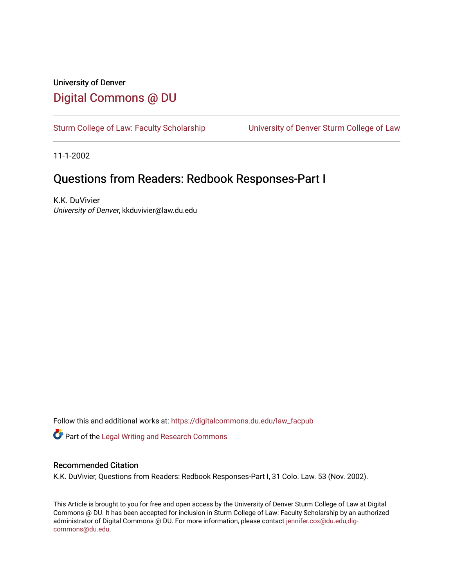# University of Denver [Digital Commons @ DU](https://digitalcommons.du.edu/)

[Sturm College of Law: Faculty Scholarship](https://digitalcommons.du.edu/law_facpub) [University of Denver Sturm College of Law](https://digitalcommons.du.edu/denver_law) 

11-1-2002

# Questions from Readers: Redbook Responses-Part I

K.K. DuVivier University of Denver, kkduvivier@law.du.edu

Follow this and additional works at: [https://digitalcommons.du.edu/law\\_facpub](https://digitalcommons.du.edu/law_facpub?utm_source=digitalcommons.du.edu%2Flaw_facpub%2F402&utm_medium=PDF&utm_campaign=PDFCoverPages) 

Part of the [Legal Writing and Research Commons](http://network.bepress.com/hgg/discipline/614?utm_source=digitalcommons.du.edu%2Flaw_facpub%2F402&utm_medium=PDF&utm_campaign=PDFCoverPages) 

#### Recommended Citation

K.K. DuVivier, Questions from Readers: Redbook Responses-Part I, 31 Colo. Law. 53 (Nov. 2002).

This Article is brought to you for free and open access by the University of Denver Sturm College of Law at Digital Commons @ DU. It has been accepted for inclusion in Sturm College of Law: Faculty Scholarship by an authorized administrator of Digital Commons @ DU. For more information, please contact [jennifer.cox@du.edu,dig](mailto:jennifer.cox@du.edu,dig-commons@du.edu)[commons@du.edu.](mailto:jennifer.cox@du.edu,dig-commons@du.edu)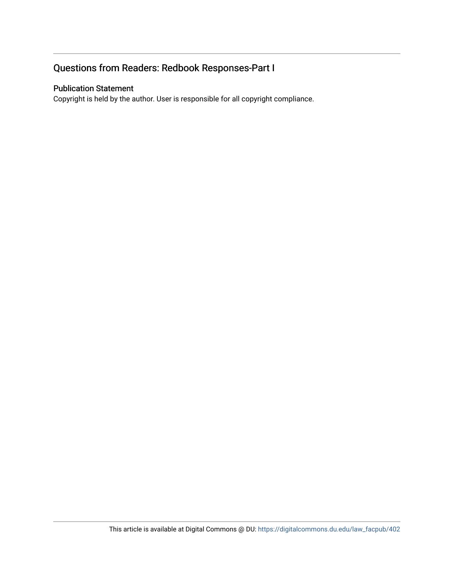# Questions from Readers: Redbook Responses-Part I

#### Publication Statement

Copyright is held by the author. User is responsible for all copyright compliance.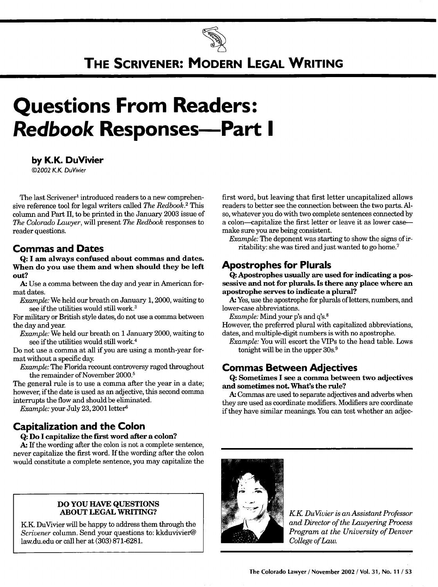

# **THE SCRIVENER: MODERN LEGAL WRITING**

# **Questions From Readers: Redbook Responses-Part I**

#### **by K.K. DuVivier**

**©2002** KK DuVivier

The last Scrivener' introduced readers to a new comprehensive reference tool for legal writers called *The Redbook.2* This column and Part II, to be printed in the January 2003 issue of *The Colorado Lawyer,* will present *The Redbook* responses to reader questions.

#### **Commas and Dates**

**Q: I am always confused about commas and dates. When do you use them and when should they be left out?**

**A.** Use a comma between the day and year in American format dates.

*Example:* We held our breath on January 1, 2000, waiting to see if the utilities would still work.<sup>3</sup>

For military or British style dates, do not use a comma between the day and year.

*Example:* We held our breath on 1 January 2000, waiting to see if the utilities would still work.<sup>4</sup>

Do not use a comma at all if you are using a month-year format without a specific day.

*Example:* The Florida recount controversy raged throughout the remainder of November 2000.<sup>5</sup>

The general rule is to use a comma after the year in a date; however, if the date is used as an adjective, this second comma interrupts the flow and should be eliminated.

*Example:* your July 23, 2001 letter<sup>6</sup>

## **Capitalization and the Colon**

#### **Q: Do I capitalize the first word after a colon?**

**A.** If the wording after the colon is not a complete sentence, never capitalize the first word. If the wording after the colon would constitute a complete sentence, you may capitalize the

#### **DO YOU HAVE QUESTIONS ABOUT LEGAL** WRITING?

**KK** DuVivier will be happy to address them through the *Scrivener* column. Send your questions to: kkduvivier@ law.du.edu or call her at (303) 871-6281.

first word, but leaving that first letter uncapitalized allows readers to better see the connection between the two parts. Also, whatever you do with two complete sentences connected by a colon-capitalize the first letter or leave it as lower casemake sure you are being consistent.

*Example:* The deponent was starting to show the signs of irritability: she was tired and just wanted to go home.<sup>7</sup>

### **Apostrophes for Plurals**

**Q: Apostrophes usually are used for indicating a possessive and not for plurals. Is there any place where an apostrophe serves to indicate a plural?**

**A.** Yes, use the apostrophe for plurals of letters, numbers, and lower-case abbreviations.

*Example:* Mind your p's and q's.<sup>8</sup>

However, the preferred plural with capitalized abbreviations, dates, and multiple-digit numbers is with no apostrophe.

*Example:* You will escort the VIPs to the head table. Lows tonight will be in the upper  $30s<sup>9</sup>$ .

#### **Commas Between Adjectives**

**Q: Sometimes I see a comma between two adjectives and sometimes not. What's the rule?**

**A.** Commas are used to separate adjectives and adverbs when they are used as coordinate modifiers. Modifiers are coordinate if they have similar meanings. You can test whether an adjec-



*KK DuVvier is an Assistant Professor and Director of the Lawyering Process Program at the University of Denver College of Law.*